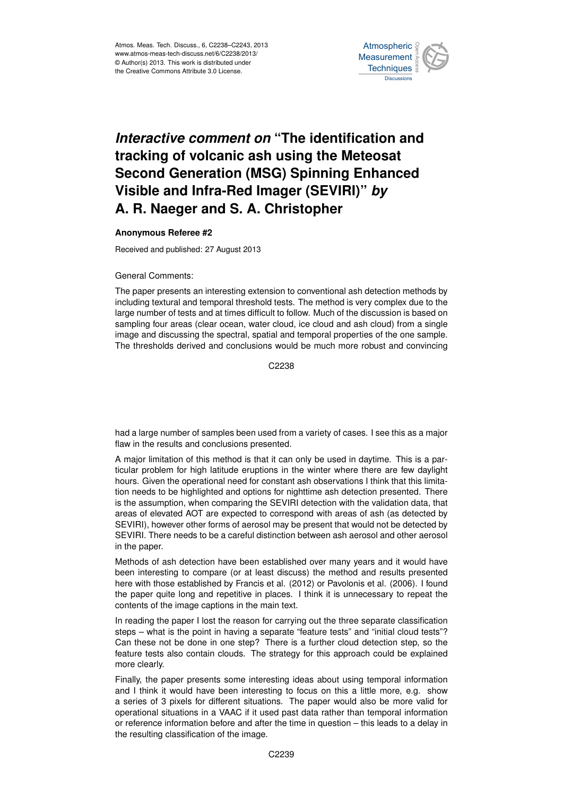

## Interactive comment on "The identification and of the Past of the Past  $\overline{\phantom{a}}$  $\overline{\phantom{a}}$ tracking of volcanic ash using the Meteosat Earth System Visible and Infra-Red Imager (SEVIRI)" *by* L<br>C a<br>. **Second Generation (MSG) Spinning Enhanced A. R. Naeger and S. A. Christopher**

## **Anonymous Referee #2**

Received and published: 27 August 2013

## General Comments:

The paper presents an interesting extension to conventional ash detection methods by .<br>Die .<br>U large number of tests and at times difficult to follow. Much of the discussion is based on sampling four areas (clear ocean, water cloud, ice cloud and ash cloud) from a single image and discussing the spectral, spatial and temporal properties of the one sample. t<br>al o<br>G<br>S The thresholds derived and conclusions would be much more robust and convincing including textural and temporal threshold tests. The method is very complex due to the

> Ocean Science  $\mathfrak{S}^2$ C<sub>2238</sub>

had a large number of samples been used from a variety of cases. I see this as a major flaw in the results and conclusions presented.

s method is that it can only be used in davtime. This n<br>it<br>is is<br>C A major limitation of this method is that it can only be used in daytime. This is a particular problem for high latitude eruptions in the winter where there are few daylight hours. Given the operational need for constant ash observations I think that this limitation needs to be highlighted and options for nighttime ash detection presented. There is the assumption, when comparing the SEVIRI detection with the validation data, that areas of elevated AOT are expected to correspond with areas of ash (as detected by SEVIRI), however other forms of aerosol may be present that would not be detected by SEVIRI. There needs to be a careful distinction between ash aerosol and other aerosol in the paper.

Methods of ash detection have been established over many years and it would have been interesting to compare (or at least discuss) the method and results presented here with those established by Francis et al. (2012) or Pavolonis et al. (2006). I found the paper quite long and repetitive in places. I think it is unnecessary to repeat the contents of the image captions in the main text.

In reading the paper I lost the reason for carrying out the three separate classification steps – what is the point in having a separate "feature tests" and "initial cloud tests"? Can these not be done in one step? There is a further cloud detection step, so the feature tests also contain clouds. The strategy for this approach could be explained more clearly.

Finally, the paper presents some interesting ideas about using temporal information and I think it would have been interesting to focus on this a little more, e.g. show a series of 3 pixels for different situations. The paper would also be more valid for operational situations in a VAAC if it used past data rather than temporal information or reference information before and after the time in question – this leads to a delay in the resulting classification of the image.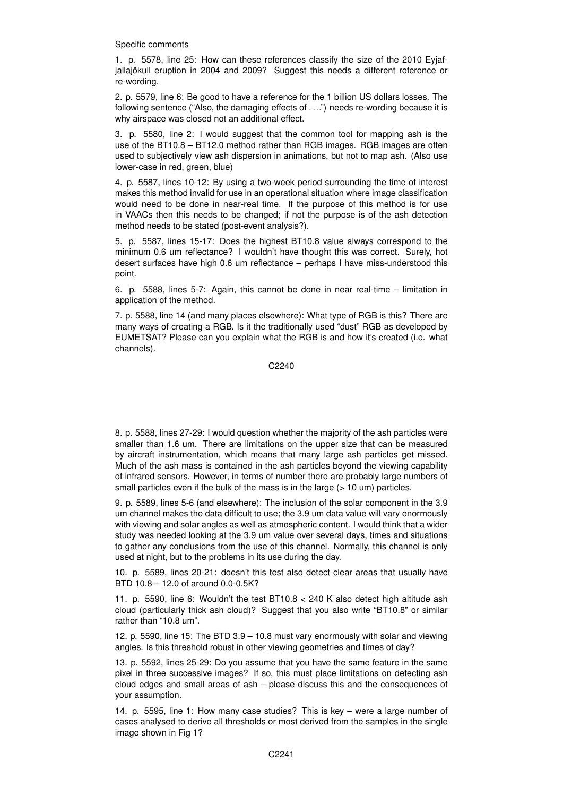Specific comments

1. p. 5578, line 25: How can these references classify the size of the 2010 Eyjafjallajökull eruption in 2004 and 2009? Suggest this needs a different reference or re-wording.

2. p. 5579, line 6: Be good to have a reference for the 1 billion US dollars losses. The following sentence ("Also, the damaging effects of . . ..") needs re-wording because it is why airspace was closed not an additional effect.

3. p. 5580, line 2: I would suggest that the common tool for mapping ash is the use of the BT10.8 – BT12.0 method rather than RGB images. RGB images are often used to subjectively view ash dispersion in animations, but not to map ash. (Also use lower-case in red, green, blue)

4. p. 5587, lines 10-12: By using a two-week period surrounding the time of interest makes this method invalid for use in an operational situation where image classification would need to be done in near-real time. If the purpose of this method is for use in VAACs then this needs to be changed; if not the purpose is of the ash detection method needs to be stated (post-event analysis?).

5. p. 5587, lines 15-17: Does the highest BT10.8 value always correspond to the minimum 0.6 um reflectance? I wouldn't have thought this was correct. Surely, hot desert surfaces have high 0.6 um reflectance – perhaps I have miss-understood this point.

6. p. 5588, lines 5-7: Again, this cannot be done in near real-time – limitation in application of the method.

7. p. 5588, line 14 (and many places elsewhere): What type of RGB is this? There are many ways of creating a RGB. Is it the traditionally used "dust" RGB as developed by EUMETSAT? Please can you explain what the RGB is and how it's created (i.e. what channels).

C2240

8. p. 5588, lines 27-29: I would question whether the majority of the ash particles were smaller than 1.6 um. There are limitations on the upper size that can be measured by aircraft instrumentation, which means that many large ash particles get missed. Much of the ash mass is contained in the ash particles beyond the viewing capability of infrared sensors. However, in terms of number there are probably large numbers of small particles even if the bulk of the mass is in the large ( $> 10$  um) particles.

9. p. 5589, lines 5-6 (and elsewhere): The inclusion of the solar component in the 3.9 um channel makes the data difficult to use; the 3.9 um data value will vary enormously with viewing and solar angles as well as atmospheric content. I would think that a wider study was needed looking at the 3.9 um value over several days, times and situations to gather any conclusions from the use of this channel. Normally, this channel is only used at night, but to the problems in its use during the day.

10. p. 5589, lines 20-21: doesn't this test also detect clear areas that usually have BTD 10.8 – 12.0 of around 0.0-0.5K?

11. p. 5590, line 6: Wouldn't the test BT10.8 < 240 K also detect high altitude ash cloud (particularly thick ash cloud)? Suggest that you also write "BT10.8" or similar rather than "10.8 um".

12. p. 5590, line 15: The BTD 3.9 – 10.8 must vary enormously with solar and viewing angles. Is this threshold robust in other viewing geometries and times of day?

13. p. 5592, lines 25-29: Do you assume that you have the same feature in the same pixel in three successive images? If so, this must place limitations on detecting ash cloud edges and small areas of ash – please discuss this and the consequences of your assumption.

14. p. 5595, line 1: How many case studies? This is key – were a large number of cases analysed to derive all thresholds or most derived from the samples in the single image shown in Fig 1?